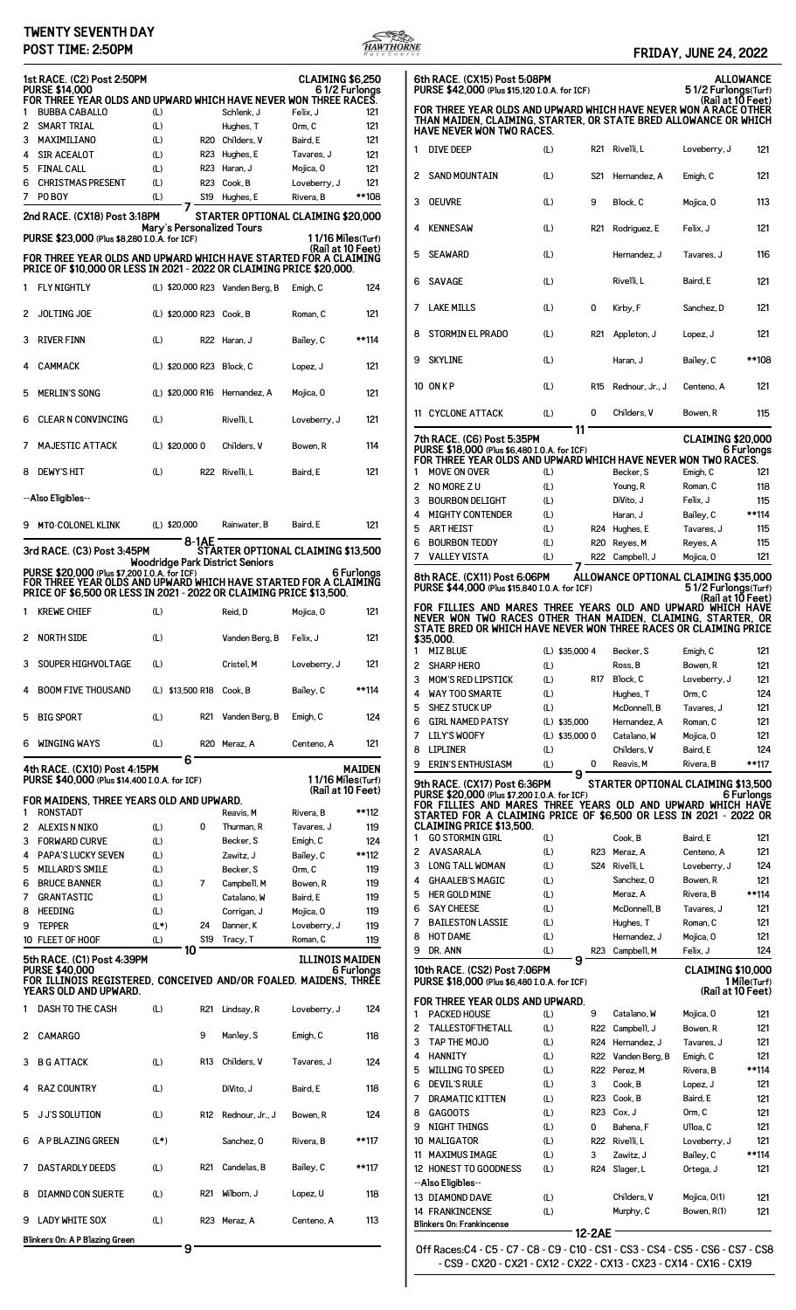## **TWENTY SEVENTH DAY**



|        | <b>TWENTY SEVENTH DAY</b><br>POST TIME: 2:50PM                                                                                                                                                 |                |                           |                                                                              |                                        | WTHORNE       |                     |                                                                                                                                              |                       |                   |                                      | <b>FRIDAY, JUNE 24, 2022</b>         |                  |
|--------|------------------------------------------------------------------------------------------------------------------------------------------------------------------------------------------------|----------------|---------------------------|------------------------------------------------------------------------------|----------------------------------------|---------------|---------------------|----------------------------------------------------------------------------------------------------------------------------------------------|-----------------------|-------------------|--------------------------------------|--------------------------------------|------------------|
|        | 1st RACE. (C2) Post 2:50PM<br><b>PURSE \$14,000</b>                                                                                                                                            |                |                           |                                                                              | <b>CLAIMING \$6,250</b>                | 61/2 Furlongs |                     | 6th RACE. (CX15) Post 5:08PM<br>PURSE \$42,000 (Plus \$15,120 I.O.A. for ICF)                                                                |                       |                   |                                      | 51/2 Furlongs(Turf)                  | <b>ALLOWANCE</b> |
|        | FOR THREE YEAR OLDS AND UPWARD WHICH HAVE NEVER WON THREE RACES.<br><b>BUBBA CABALLO</b>                                                                                                       | (L)            |                           | Schlenk, J                                                                   | Felix, J                               | 121           |                     | FOR THREE YEAR OLDS AND UPWARD WHICH HAVE NEVER WON A RACE OTHER<br>THAN MAIDEN, CLAIMING, STARTER, OR STATE BRED ALLOWANCE OR WHICH         |                       |                   |                                      | (Rail at 10 Feet)                    |                  |
| 3      | 2 SMART TRIAL<br>MAXIMILIANO                                                                                                                                                                   | (L)<br>(L)     |                           | Hughes, T<br>R20 Childers, V                                                 | Orm, C<br>Baird, E                     | 121<br>121    |                     | <b>HAVE NEVER WON TWO RACES.</b>                                                                                                             |                       |                   |                                      |                                      |                  |
|        | SIR ACEALOT                                                                                                                                                                                    | (L)            | <b>R23</b>                | Hughes, E                                                                    | Tavares, J                             | 121           | 1                   | <b>DIVE DEEP</b>                                                                                                                             | (L)                   |                   | R21 Rivelli, L                       | Loveberry, J                         | 121              |
| 5<br>6 | <b>FINAL CALL</b><br><b>CHRISTMAS PRESENT</b>                                                                                                                                                  | (L)<br>(L)     |                           | R23 Haran, J<br>R23 Cook, B                                                  | Mojica, 0<br>Loveberry, J              | 121<br>121    |                     | 2 SAND MOUNTAIN                                                                                                                              | (L)                   | S <sub>21</sub>   | Hernandez, A                         | Emigh, C                             | 121              |
| 7      | PO BOY                                                                                                                                                                                         | (L)            |                           | S19 Huahes, E                                                                | Rivera, B                              | **108         |                     | 3 OEUVRE                                                                                                                                     | (L)                   | 9                 | Block, C                             | Mojica, O                            | 113              |
|        | 2nd RACE. (CX18) Post 3:18PM                                                                                                                                                                   |                |                           | STARTER OPTIONAL CLAIMING \$20,000                                           |                                        |               |                     |                                                                                                                                              |                       |                   |                                      |                                      |                  |
|        | PURSE \$23,000 (Plus \$8,280 I.O.A. for ICF)                                                                                                                                                   |                | Mary's Personalized Tours |                                                                              | $11/16$ Miles(Turf)                    |               |                     | 4 KENNESAW                                                                                                                                   | (L)                   | R <sub>21</sub>   | Rodriguez, E                         | Felix, J                             | 121              |
|        | FOR THREE YEAR OLDS AND UPWARD WHICH HAVE STARTED FOR A CLAIMING<br>PRICE OF \$10,000 OR LESS IN 2021 - 2022 OR CLAIMING PRICE \$20,000.                                                       |                |                           |                                                                              | (Rail at 10 Feet)                      |               |                     | 5 SEAWARD                                                                                                                                    | (L)                   |                   | Hernandez, J                         | Tavares, J                           | 116              |
|        | 1 FLY NIGHTLY                                                                                                                                                                                  |                |                           | (L) \$20,000 R23 Vanden Berg, B                                              | Emigh, C                               | 124           |                     | 6 SAVAGE                                                                                                                                     | (L)                   |                   | Rivelli, L                           | Baird, E                             | 121              |
|        | 2 JOLTING JOE                                                                                                                                                                                  |                | (L) \$20,000 R23 Cook, B  |                                                                              | Roman, C                               | 121           |                     | 7 LAKE MILLS                                                                                                                                 | (L)                   | 0                 | Kirby, F                             | Sanchez, D                           | 121              |
|        | 3 RIVER FINN                                                                                                                                                                                   | (L)            |                           | R22 Haran, J                                                                 | Bailey, C                              | **114         | 8                   | <b>STORMIN EL PRADO</b>                                                                                                                      | (L)                   | R21               | Appleton, J                          | Lopez, J                             | 121              |
|        | CAMMACK                                                                                                                                                                                        |                | (L) \$20,000 R23 Block, C |                                                                              | Lopez, J                               | 121           |                     | 9 SKYLINE                                                                                                                                    | (L)                   |                   | Haran, J                             | Bailey, C                            | **108            |
|        | 5 MERLIN'S SONG                                                                                                                                                                                |                |                           | (L) \$20,000 R16 Hernandez, A                                                | Mojica, O                              | 121           |                     | 10 ONKP                                                                                                                                      | (L)                   | R <sub>15</sub>   | Rednour, Jr., J                      | Centeno, A                           | 121              |
|        | 6 CLEAR N CONVINCING                                                                                                                                                                           | (L)            |                           | Rivelli, L                                                                   | Loveberry, J                           | 121           |                     | 11 CYCLONE ATTACK                                                                                                                            | (L)<br>11             | 0                 | Childers, V                          | Bowen, R                             | 115              |
|        | 7 MAJESTIC ATTACK                                                                                                                                                                              |                | (L) \$20,000 0            | Childers, V                                                                  | Bowen, R                               | 114           |                     | 7th RACE. (C6) Post 5:35PM<br>PURSE \$18,000 (Plus \$6,480 I.O.A. for ICF)<br>FOR THREE YEAR OLDS AND UPWARD WHICH HAVE NEVER WON TWO RACES. |                       |                   |                                      | <b>CLAIMING \$20,000</b>             | 6 Furlongs       |
|        | 8 DEWY'S HIT                                                                                                                                                                                   | (L)            |                           | R22 Rivelli, L                                                               | Baird, E                               | 121           | 1                   | MOVE ON OVER                                                                                                                                 | (L)                   |                   | Becker, S                            | Emigh, C                             | 121              |
|        | --Also Eligibles--                                                                                                                                                                             |                |                           |                                                                              |                                        |               | $\overline{c}$<br>3 | NO MORE Z U<br><b>BOURBON DELIGHT</b>                                                                                                        | (L)<br>(L)            |                   | Young, R<br>DiVito, J                | Roman, C<br>Felix, J                 | 118<br>115       |
|        |                                                                                                                                                                                                |                |                           |                                                                              |                                        |               | 4                   | <b>MIGHTY CONTENDER</b>                                                                                                                      | (L)                   |                   | Haran, J                             | Bailey, C                            | **114            |
|        | 9 MTO-COLONEL KLINK                                                                                                                                                                            |                | (L) \$20,000<br>8-1AE     | Rainwater, B                                                                 | Baird, E                               | 121           | 5                   | <b>ART HEIST</b><br><b>BOURBON TEDDY</b>                                                                                                     | (L)                   |                   | R24 Hughes, E                        | Tavares, J                           | 115              |
|        | 3rd RACE. (C3) Post 3:45PM                                                                                                                                                                     |                |                           | STARTER OPTIONAL CLAIMING \$13,500<br><b>Woodridge Park District Seniors</b> |                                        |               | 6<br>7              | <b>VALLEY VISTA</b>                                                                                                                          | (L)<br>(L)            |                   | R20 Reyes, M<br>R22 Campbell, J      | Reyes, A<br>Mojica, O                | 115<br>121       |
|        | PURSE \$20,000 (Plus \$7,200 I.O.A. for ICF)<br>FOR THREE YEAR OLDS AND UPWARD WHICH HAVE STARTED FOR A CLAIMING<br><b>PRICE OF \$6,500 OR LESS IN 2021 - 2022 OR CLAIMING PRICE \$13,500.</b> |                |                           |                                                                              |                                        | 6 Furlonas    |                     | 8th RACE. (CX11) Post 6:06PM<br>PURSE \$44,000 (Plus \$15,840 I.O.A. for ICF)                                                                |                       |                   | ALLOWANCE OPTIONAL CLAIMING \$35,000 | 51/2 Furlongs(Turf)                  |                  |
| 1      | <b>KREWE CHIEF</b>                                                                                                                                                                             | (L)            |                           | Reid, D                                                                      | Mojica, O                              | 121           |                     | FOR FILLIES AND MARES THREE YEARS OLD AND UPWARD WHICH HAVE<br>NEVER WON TWO RACES OTHER THAN MAIDEN, CLAIMING, STARTER, OR                  |                       |                   |                                      | (Rail at 10 Feet)                    |                  |
|        | 2 NORTH SIDE                                                                                                                                                                                   | (L)            |                           | Vanden Berg, B                                                               | Felix, J                               | 121           |                     | STATE BRED OR WHICH HAVE NEVER WON THREE RACES OR CLAIMING PRICE<br>\$35,000.                                                                |                       |                   |                                      |                                      |                  |
|        | 3 SOUPER HIGHVOLTAGE                                                                                                                                                                           | (L)            |                           | Cristel, M                                                                   | Loveberry, J                           | 121           | $\overline{c}$      | 1 MIZ BLUE<br><b>SHARP HERO</b>                                                                                                              | (L) \$35,000 4<br>(L) |                   | Becker, S<br>Ross, B                 | Emigh, C<br>Bowen, R                 | 121<br>121       |
|        | 4 BOOM FIVE THOUSAND                                                                                                                                                                           |                | (L) \$13,500 R18 Cook, B  |                                                                              | Bailey, C                              | **114         | 3<br>4              | <b>MOM'S RED LIPSTICK</b><br><b>WAY TOO SMARTE</b>                                                                                           | (L)<br>(L)            |                   | R17 Block, C<br>Hughes, T            | Loveberry, J<br>Orm, C               | 121<br>124       |
|        |                                                                                                                                                                                                |                |                           |                                                                              |                                        |               | 5                   | <b>SHEZ STUCK UP</b>                                                                                                                         | (L)                   |                   | McDonnell, B                         | Tavares, J                           | 121              |
|        | 5 BIG SPORT                                                                                                                                                                                    | (L)            | R21                       | Vanden Berg, B                                                               | Emigh, C                               | 124           | 6                   | <b>GIRL NAMED PATSY</b>                                                                                                                      | (L) \$35,000          |                   | Hernandez, A                         | Roman, C                             | 121              |
|        | 6 WINGING WAYS                                                                                                                                                                                 | (L)            |                           | R20 Meraz, A                                                                 | Centeno, A                             | 121           | 7<br>8              | <b>LILY'S WOOFY</b><br><b>LIPLINER</b>                                                                                                       | (L) \$35,000 0<br>(L) |                   | Catalano, W<br>Childers, V           | Mojica, O<br>Baird, E                | 121<br>124       |
|        | 4th RACE. (CX10) Post 4:15PM                                                                                                                                                                   |                | 6                         |                                                                              |                                        | <b>MAIDEN</b> | 9                   | <b>ERIN'S ENTHUSIASM</b>                                                                                                                     | (L)<br>9              | 0                 | Reavis, M                            | Rivera, B                            | **117            |
|        | PURSE \$40,000 (Plus \$14,400 I.O.A. for ICF)                                                                                                                                                  |                |                           |                                                                              | 11/16 Miles(Turf)<br>(Rail at 10 Feet) |               |                     | 9th RACE. (CX17) Post 6:36PM<br>PURSE \$20,000 (Plus \$7,200 I.O.A. for ICF)                                                                 |                       |                   | STARTER OPTIONAL CLAIMING \$13,500   |                                      | 6 Furlonas       |
| 1      | FOR MAIDENS, THREE YEARS OLD AND UPWARD.<br>RONSTADT                                                                                                                                           |                |                           | Reavis, M                                                                    | Rivera, B                              | **112         |                     | FOR FILLIES AND MARES THREE YEARS OLD AND UPWARD WHICH HAVE<br>STARTED FOR A CLAIMING PRICE OF \$6,500 OR LESS IN 2021 - 2022 OR             |                       |                   |                                      |                                      |                  |
| 2      | ALEXIS N NIKO                                                                                                                                                                                  | (L)            | 0                         | Thurman, R                                                                   | Tavares, J                             | 119           | 1                   | <b>CLAIMING PRICE \$13,500.</b><br><b>GO STORMIN GIRL</b>                                                                                    |                       |                   | Cook, B                              | Baird, E                             |                  |
| 4      | 3 FORWARD CURVE<br><b>PAPA'S LUCKY SEVEN</b>                                                                                                                                                   | (L)<br>(L)     |                           | Becker, S<br>Zawitz, J                                                       | Emigh, C<br>Bailey, C                  | 124<br>**112  | $\overline{c}$      | AVASARALA                                                                                                                                    | (L)<br>(L)            |                   | R23 Meraz, A                         | Centeno, A                           | 121<br>121       |
| 5      | MILLARD'S SMILE                                                                                                                                                                                | (L)            |                           | Becker, S                                                                    | Orm, C                                 | 119           | 3                   | <b>LONG TALL WOMAN</b>                                                                                                                       | (L)                   |                   | S24 Rivelli, L                       | Loveberry, J                         | 124              |
| 6      | <b>BRUCE BANNER</b>                                                                                                                                                                            | (L)            | 7                         | Campbell, M                                                                  | Bowen, R                               | 119           | 4                   | <b>GHAALEB'S MAGIC</b>                                                                                                                       | (L)                   |                   | Sanchez, 0                           | Bowen, R                             | 121              |
| 7      | <b>GRANTASTIC</b>                                                                                                                                                                              | (L)            |                           | Catalano, W                                                                  | Baird, E                               | 119           | 5                   | <b>HER GOLD MINE</b>                                                                                                                         | (L)                   |                   | Meraz, A                             | Rivera, B                            | **114            |
| 8      | HEEDING                                                                                                                                                                                        | (L)            |                           | Corrigan, J                                                                  | Mojica, 0                              | 119           | 6                   | <b>SAY CHEESE</b>                                                                                                                            | (L)                   |                   | McDonnell, B                         | Tavares, J                           | 121              |
|        | 9 TEPPER<br>10 FLEET OF HOOF                                                                                                                                                                   | $(L^*)$<br>(L) | 24                        | Danner, K<br>S19 Tracy, T                                                    | Loveberry, J<br>Roman, C               | 119<br>119    | 7<br>8              | <b>BAILESTON LASSIE</b><br><b>HOT DAME</b>                                                                                                   | (L)<br>(L)            |                   | Hughes, T<br>Hernandez, J            | Roman, C<br>Mojica, 0                | 121<br>121       |
|        | 5th RACE. (C1) Post 4:39PM<br><b>PURSE \$40,000</b>                                                                                                                                            |                | 10                        |                                                                              | <b>ILLINOIS MAIDEN</b>                 | 6 Furlongs    | 9                   | DR. ANN<br>10th RACE. (CS2) Post 7:06PM                                                                                                      | (L)<br>9              |                   | R23 Campbell, M                      | Felix, J<br><b>CLAIMING \$10,000</b> | 124              |
|        | FOR ILLINOIS REGISTERED, CONCEIVED AND/OR FOALED. MAIDENS, THREE<br>YEARS OLD AND UPWARD.                                                                                                      |                |                           |                                                                              |                                        |               |                     | PURSE \$18,000 (Plus \$6,480 I.O.A. for ICF)                                                                                                 |                       |                   |                                      | (Rail at 10 Feet)                    | 1 Mile(Turf)     |
|        | 1 DASH TO THE CASH                                                                                                                                                                             | (L)            |                           | R21 Lindsay, R                                                               | Loveberry, J                           | 124           | -1                  | FOR THREE YEAR OLDS AND UPWARD.<br><b>PACKED HOUSE</b>                                                                                       | (L)                   | 9                 | Catalano, W                          | Mojica, 0                            | 121              |
|        | 2 CAMARGO                                                                                                                                                                                      |                | 9                         | Manley, S                                                                    | Emigh, C                               | 118           | $\overline{c}$<br>3 | <b>TALLESTOFTHETALL</b><br>TAP THE MOJO                                                                                                      | (L)<br>(L)            |                   | R22 Campbell, J<br>R24 Hernandez, J  | Bowen, R<br>Tavares, J               | 121<br>121       |
|        | 3 B G ATTACK                                                                                                                                                                                   | (L)            | R13                       | Childers, V                                                                  | Tavares, J                             | 124           | 4<br>5              | <b>HANNITY</b><br><b>WILLING TO SPEED</b>                                                                                                    | (L)<br>(L)            | R22<br><b>R22</b> | Vanden Berg, B<br>Perez. M           | Emigh, C<br>Rivera, B                | 121<br>**114     |
|        | 4 RAZ COUNTRY                                                                                                                                                                                  | (L)            |                           | DiVito, J                                                                    | Baird, E                               | 118           | 6                   | <b>DEVIL'S RULE</b>                                                                                                                          | (L)                   | 3                 | Cook, B                              | Lopez, J                             | 121              |
|        | 5 J J'S SOLUTION                                                                                                                                                                               | (L)            |                           | R12 Rednour, Jr., J                                                          | Bowen, R                               | 124           | 7<br>8              | DRAMATIC KITTEN<br><b>GAGOOTS</b>                                                                                                            | (L)<br>(L)            | <b>R23</b>        | Cook, B<br>R23 Cox, J                | Baird, E<br>Orm, C                   | 121<br>121       |
|        | 6 A P BLAZING GREEN                                                                                                                                                                            | $(L^*)$        |                           | Sanchez, 0                                                                   | Rivera, B                              | **117         | 9                   | NIGHT THINGS<br>10 MALIGATOR                                                                                                                 | (L)<br>(L)            | 0                 | Bahena, F<br>R22 Rivelli, L          | Ulloa, C<br>Loveberry, J             | 121<br>121       |
|        | 7 DASTARDLY DEEDS                                                                                                                                                                              | (L)            |                           | R21 Candelas, B                                                              | Bailey, C                              | **117         |                     | 11 MAXIMUS IMAGE<br>12 HONEST TO GOODNESS                                                                                                    | (L)<br>(L)            | 3                 | Zawitz, J<br>R24 Slager, L           | Bailey, C<br>Ortega, J               | **114<br>121     |
|        | 8 DIAMND CON SUERTE                                                                                                                                                                            | (L)            |                           | R21 Wilborn, J                                                               | Lopez, U                               | 118           |                     | --Also Eligibles--<br>13 DIAMOND DAVE                                                                                                        | (L)                   |                   | Childers, V                          | Mojica, 0(1)                         | 121              |
|        | 9 LADY WHITE SOX                                                                                                                                                                               | (L)            |                           | R23 Meraz, A                                                                 | Centeno, A                             | 113           |                     | 14 FRANKINCENSE<br><b>Blinkers On: Frankincense</b>                                                                                          | (L)                   |                   | Murphy, C                            | Bowen, R(1)                          | 121              |
|        | Blinkers On: A P Blazing Green                                                                                                                                                                 |                |                           |                                                                              |                                        |               |                     |                                                                                                                                              |                       | 12-2AE            |                                      |                                      |                  |

**9**

| 6th RACE. (CX15) Post 5:08PM<br>ALLOWANCE<br>51/2 Furlongs(Turf)<br>PURSE \$42,000 (Plus \$15,120 I.O.A. for ICF)<br>(Rail at 10 Feet)                                                                                                                                                                              |                                                                                                                                                                                                                                                               |            |                |                 |                     |                                               |              |  |  |
|---------------------------------------------------------------------------------------------------------------------------------------------------------------------------------------------------------------------------------------------------------------------------------------------------------------------|---------------------------------------------------------------------------------------------------------------------------------------------------------------------------------------------------------------------------------------------------------------|------------|----------------|-----------------|---------------------|-----------------------------------------------|--------------|--|--|
|                                                                                                                                                                                                                                                                                                                     | FOR THREE YEAR OLDS AND UPWARD WHICH HAVE NEVER WON A RACE OTHER<br>THAN MAIDEN, CLAIMING, STARTER, OR STATE BRED ALLOWANCE OR WHICH<br>HAVE NEVER WON TWO RACES.                                                                                             |            |                |                 |                     |                                               |              |  |  |
| 1                                                                                                                                                                                                                                                                                                                   | <b>DIVE DEEP</b>                                                                                                                                                                                                                                              | (L)        |                | R <sub>21</sub> | Rivelli, L          | Loveberry, J                                  | 121          |  |  |
| 2                                                                                                                                                                                                                                                                                                                   | <b>SAND MOUNTAIN</b>                                                                                                                                                                                                                                          | (L)        |                | S <sub>21</sub> | Hernandez, A        | Emigh, C                                      | 121          |  |  |
| 3                                                                                                                                                                                                                                                                                                                   | <b>OEUVRE</b>                                                                                                                                                                                                                                                 | (L)        |                | 9               | Block, C            | Mojica, 0                                     | 113          |  |  |
| 4                                                                                                                                                                                                                                                                                                                   | <b>KENNESAW</b>                                                                                                                                                                                                                                               | (L)        |                | R21             | Rodriguez, E        | Felix, J                                      | 121          |  |  |
| 5                                                                                                                                                                                                                                                                                                                   | <b>SEAWARD</b>                                                                                                                                                                                                                                                | (L)        |                |                 | Hernandez. J        | Tavares, J                                    | 116          |  |  |
| 6                                                                                                                                                                                                                                                                                                                   | <b>SAVAGE</b>                                                                                                                                                                                                                                                 | (L)        |                |                 | Rivelli, L          | Baird, E                                      | 121          |  |  |
| 7                                                                                                                                                                                                                                                                                                                   | <b>LAKE MILLS</b>                                                                                                                                                                                                                                             | (L)        |                | 0               | Kirby, F            | Sanchez, D                                    | 121          |  |  |
| 8                                                                                                                                                                                                                                                                                                                   | <b>STORMIN EL PRADO</b>                                                                                                                                                                                                                                       | (L)        |                | R <sub>21</sub> | Appleton, J         | Lopez, J                                      | 121          |  |  |
| 9                                                                                                                                                                                                                                                                                                                   | <b>SKYLINE</b>                                                                                                                                                                                                                                                | (L)        |                |                 | Haran, J            | Bailey, C                                     | **108        |  |  |
|                                                                                                                                                                                                                                                                                                                     |                                                                                                                                                                                                                                                               |            |                |                 |                     |                                               |              |  |  |
|                                                                                                                                                                                                                                                                                                                     | 10 ONKP                                                                                                                                                                                                                                                       | (L)        |                | R <sub>15</sub> | Rednour, Jr., J     | Centeno, A                                    | 121          |  |  |
| 11                                                                                                                                                                                                                                                                                                                  | <b>CYCLONE ATTACK</b>                                                                                                                                                                                                                                         | (L)        | 11             | 0               | Childers, V         | Bowen, R                                      | 115          |  |  |
|                                                                                                                                                                                                                                                                                                                     | 7th RACE. (C6) Post 5:35PM<br><b>CLAIMING \$20,000</b><br>PURSE \$18,000 (Plus \$6,480 I.O.A. for ICF)<br>6 Furlonas<br>FOR THREE YEAR OLDS AND UPWARD WHICH HAVE NEVER WON TWO RACES.                                                                        |            |                |                 |                     |                                               |              |  |  |
| 1                                                                                                                                                                                                                                                                                                                   | MOVE ON OVER                                                                                                                                                                                                                                                  | (L)        |                |                 | Becker, S           | Emigh, C                                      | 121          |  |  |
| 2                                                                                                                                                                                                                                                                                                                   | NO MORE Z U                                                                                                                                                                                                                                                   | (L)        |                |                 | Young, R            | Roman, C                                      | 118          |  |  |
| 3                                                                                                                                                                                                                                                                                                                   | <b>BOURBON DELIGHT</b>                                                                                                                                                                                                                                        | (L)        |                |                 | DiVito, J           | Felix, J                                      | 115          |  |  |
| 4                                                                                                                                                                                                                                                                                                                   | <b>MIGHTY CONTENDER</b>                                                                                                                                                                                                                                       | (L)        |                |                 | Haran, J            | Bailey, C                                     | **114        |  |  |
| 5                                                                                                                                                                                                                                                                                                                   | <b>ART HEIST</b>                                                                                                                                                                                                                                              | (L)        |                | R24             | Hughes, E           | Tavares, J                                    | 115          |  |  |
| 6                                                                                                                                                                                                                                                                                                                   | <b>BOURBON TEDDY</b>                                                                                                                                                                                                                                          | (L)        |                | <b>R20</b>      |                     |                                               | 115          |  |  |
|                                                                                                                                                                                                                                                                                                                     |                                                                                                                                                                                                                                                               |            |                |                 | Reyes, M            | Reyes, A                                      |              |  |  |
| 7                                                                                                                                                                                                                                                                                                                   | <b>VALLEY VISTA</b>                                                                                                                                                                                                                                           | (L)        |                | <b>R22</b>      | Campbell, J         | Mojica, 0                                     | 121          |  |  |
|                                                                                                                                                                                                                                                                                                                     | PURSE \$44,000 (Plus \$15,840 I.O.A. for ICF)<br>FOR FILLIES AND MARES THREE YEARS OLD AND UPWARD WHICH HAVE<br>NEVER WON TWO RACES OTHER THAN MAIDEN, CLAIMING, STARTER, OR<br>STATE BRED OR WHICH HAVE NEVER WON THREE RACES OR CLAIMING PRICE<br>\$35.000. |            |                |                 |                     | 51/2 Furlonas(Turf)<br>(Rail at 10 Feet)      |              |  |  |
| 1                                                                                                                                                                                                                                                                                                                   | MIZ BLUE                                                                                                                                                                                                                                                      |            | (L) \$35,000 4 |                 | Becker, S           | Emigh, C                                      | 121          |  |  |
| 2                                                                                                                                                                                                                                                                                                                   | <b>SHARP HERO</b>                                                                                                                                                                                                                                             | (L)        |                |                 | Ross, B             | Bowen, R                                      | 121          |  |  |
| 3                                                                                                                                                                                                                                                                                                                   | <b>MOM'S RED LIPSTICK</b>                                                                                                                                                                                                                                     | (L)        |                | <b>R17</b>      | Block, C            | Loveberry, J                                  | 121          |  |  |
| 4                                                                                                                                                                                                                                                                                                                   | <b>WAY TOO SMARTE</b>                                                                                                                                                                                                                                         | (L)        |                |                 | Hughes, T           | Orm, C                                        | 124          |  |  |
|                                                                                                                                                                                                                                                                                                                     |                                                                                                                                                                                                                                                               |            |                |                 |                     |                                               |              |  |  |
| 5                                                                                                                                                                                                                                                                                                                   | <b>SHEZ STUCK UP</b>                                                                                                                                                                                                                                          | (L)        |                |                 | McDonnell, B        | Tavares, J                                    | 121          |  |  |
| 6                                                                                                                                                                                                                                                                                                                   | <b>GIRL NAMED PATSY</b>                                                                                                                                                                                                                                       |            | (L) \$35,000   |                 | Hernandez, A        | Roman, C                                      | 121          |  |  |
| 7                                                                                                                                                                                                                                                                                                                   | <b>LILY'S WOOFY</b>                                                                                                                                                                                                                                           |            | (L) \$35,000 0 |                 | Catalano, W         | Mojica, O                                     | 121          |  |  |
| 8                                                                                                                                                                                                                                                                                                                   | <b>LIPLINER</b>                                                                                                                                                                                                                                               | (L)        |                |                 | Childers, V         | Baird. E                                      | 124          |  |  |
| 9                                                                                                                                                                                                                                                                                                                   | <b>ERIN'S ENTHUSIASM</b>                                                                                                                                                                                                                                      | (L)        |                | 0               | Reavis, M           | Rivera, B                                     | **117        |  |  |
| 9<br>STARTER OPTIONAL CLAIMING \$13,500<br><b>9th RACE. (CX17) Post 6:36PM</b><br>PURSE \$20,000 (Plus \$7,200 I.O.A. for ICF)<br>6 Furlongs<br>FOR FILLIES AND MARES THREE YEARS OLD AND UPWARD WHICH HAVE<br>STARTED FOR A CLAIMING PRICE OF \$6,500 OR LESS IN 2021 - 2022 OR<br><b>CLAIMING PRICE \$13,500.</b> |                                                                                                                                                                                                                                                               |            |                |                 |                     |                                               |              |  |  |
| 1<br>2                                                                                                                                                                                                                                                                                                              | <b>GO STORMIN GIRL</b><br>AVASARALA                                                                                                                                                                                                                           | (L)<br>(L) |                | <b>R23</b>      | Cook, B<br>Meraz, A | Baird, E<br>Centeno, A                        | 121<br>121   |  |  |
| 3                                                                                                                                                                                                                                                                                                                   | <b>LONG TALL WOMAN</b>                                                                                                                                                                                                                                        | (L)        |                |                 | S24 Rivelli, L      | Loveberry, J                                  | 124          |  |  |
|                                                                                                                                                                                                                                                                                                                     |                                                                                                                                                                                                                                                               |            |                |                 |                     |                                               |              |  |  |
| 4                                                                                                                                                                                                                                                                                                                   | <b>GHAALEB'S MAGIC</b>                                                                                                                                                                                                                                        | (L)        |                |                 | Sanchez, 0          | Bowen, R                                      | 121          |  |  |
| 5                                                                                                                                                                                                                                                                                                                   | <b>HER GOLD MINE</b>                                                                                                                                                                                                                                          | (L)        |                |                 | Meraz, A            | Rivera, B                                     | **114        |  |  |
| 6                                                                                                                                                                                                                                                                                                                   | <b>SAY CHEESE</b>                                                                                                                                                                                                                                             | (L)        |                |                 | McDonnell, B        | Tavares, J                                    | 121          |  |  |
| 7                                                                                                                                                                                                                                                                                                                   | <b>BAILESTON LASSIE</b>                                                                                                                                                                                                                                       | (L)        |                |                 | Hughes, T           | Roman, C                                      | 121          |  |  |
| 8                                                                                                                                                                                                                                                                                                                   | <b>HOT DAME</b>                                                                                                                                                                                                                                               | (L)        |                |                 | Hernandez, J        | Mojica, O                                     | 121          |  |  |
| 9                                                                                                                                                                                                                                                                                                                   | DR. ANN                                                                                                                                                                                                                                                       | (L)        |                | R <sub>23</sub> | Campbell, M         | Felix, J                                      | 124          |  |  |
|                                                                                                                                                                                                                                                                                                                     | 10th RACE. (CS2) Post 7:06PM<br>PURSE \$18,000 (Plus \$6,480 I.O.A. for ICF)                                                                                                                                                                                  |            | 9              |                 |                     | <b>CLAIMING \$10,000</b><br>(Rail at 10 Feet) | 1 Mile(Turf) |  |  |
|                                                                                                                                                                                                                                                                                                                     | FOR THREE YEAR OLDS AND UPWARD.                                                                                                                                                                                                                               |            |                |                 |                     |                                               |              |  |  |
| 1                                                                                                                                                                                                                                                                                                                   | <b>PACKED HOUSE</b>                                                                                                                                                                                                                                           | (L)        |                | 9               | Catalano, W         | Mojica, O                                     | 121          |  |  |
| 2                                                                                                                                                                                                                                                                                                                   | <b>TALLESTOFTHETALL</b>                                                                                                                                                                                                                                       | (L)        |                | <b>R22</b>      | Campbell, J         | Bowen, R                                      | 121          |  |  |
| 3                                                                                                                                                                                                                                                                                                                   | TAP THE MOJO                                                                                                                                                                                                                                                  | (L)        |                |                 | R24 Hernandez, J    | Tavares, J                                    | 121          |  |  |
| 4                                                                                                                                                                                                                                                                                                                   | <b>HANNITY</b>                                                                                                                                                                                                                                                | (L)        |                | R22             | Vanden Berg, B      | Emigh, C                                      | 121          |  |  |
| 5                                                                                                                                                                                                                                                                                                                   | <b>WILLING TO SPEED</b>                                                                                                                                                                                                                                       | (L)        |                | <b>R22</b>      | Perez, M            | Rivera, B                                     | **114        |  |  |
| 6                                                                                                                                                                                                                                                                                                                   | <b>DEVIL'S RULE</b>                                                                                                                                                                                                                                           | (L)        |                | 3               | Cook, B             | Lopez, J                                      | 121          |  |  |
| 7                                                                                                                                                                                                                                                                                                                   | <b>DRAMATIC KITTEN</b>                                                                                                                                                                                                                                        | (L)        |                |                 | R23 Cook, B         | Baird, E                                      | 121          |  |  |
|                                                                                                                                                                                                                                                                                                                     |                                                                                                                                                                                                                                                               |            |                | R23             | Cox, J              | Orm, C                                        |              |  |  |
| 8                                                                                                                                                                                                                                                                                                                   | <b>GAGOOTS</b>                                                                                                                                                                                                                                                | (L)        |                |                 |                     |                                               | 121          |  |  |
| 9                                                                                                                                                                                                                                                                                                                   | <b>NIGHT THINGS</b>                                                                                                                                                                                                                                           | (L)        |                | 0               | Bahena, F           | Ulloa, C                                      | 121          |  |  |
|                                                                                                                                                                                                                                                                                                                     | 10 MALIGATOR                                                                                                                                                                                                                                                  | (L)        |                | R <sub>22</sub> | Rivelli, L          | Loveberry, J                                  | 121          |  |  |
|                                                                                                                                                                                                                                                                                                                     | 11 MAXIMUS IMAGE                                                                                                                                                                                                                                              | (L)        |                | 3               | Zawitz. J           | Bailey, C                                     | **114        |  |  |
|                                                                                                                                                                                                                                                                                                                     | 12 HONEST TO GOODNESS                                                                                                                                                                                                                                         | (L)        |                | R24             | Slager, L           | Ortega, J                                     | 121          |  |  |
|                                                                                                                                                                                                                                                                                                                     | --Also Eligibles--                                                                                                                                                                                                                                            |            |                |                 |                     |                                               |              |  |  |
|                                                                                                                                                                                                                                                                                                                     | 13 DIAMOND DAVE                                                                                                                                                                                                                                               | (L)        |                |                 | Childers, V         | Mojica, O(1)                                  | 121          |  |  |

**12-2AE** Off Races:C4 - C5 - C7 - C8 - C9 - C10 - CS1 - CS3 - CS4 - CS5 - CS6 - CS7 - CS8 - CS9 - CX20 - CX21 - CX12 - CX22 - CX13 - CX23 - CX14 - CX16 - CX19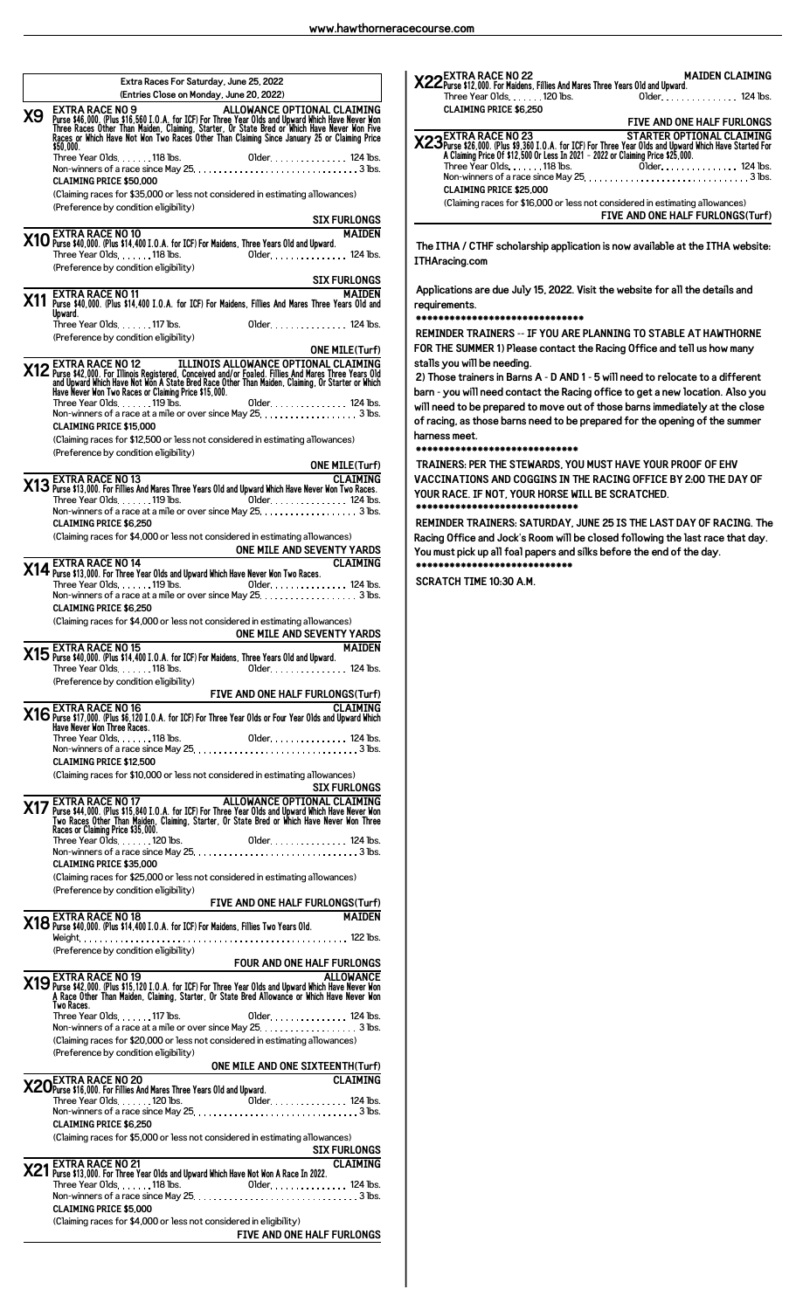|           | Extra Races For Saturday, June 25, 2022<br>(Entries Close on Monday, June 20, 2022)                                                                                                                                                                                                            |
|-----------|------------------------------------------------------------------------------------------------------------------------------------------------------------------------------------------------------------------------------------------------------------------------------------------------|
| <b>X9</b> | <b>EXTRA RACE NO 9</b><br>ALLOWANCE OPTIONAL CLAIMING<br>Purse \$46,000. (Plus \$16,560 I.O.A. for ICF) For Three Year Olds and Upward Which Have Never Won<br>Three Races Other Than Maiden, Claiming, Starter, Or State Bred or Which Have Never Won Five<br>Races or Which Have Not Won Two |
|           | \$50.000.                                                                                                                                                                                                                                                                                      |
|           | <b>CLAIMING PRICE \$50,000</b>                                                                                                                                                                                                                                                                 |
|           | (Claiming races for \$35,000 or less not considered in estimating allowances)<br>(Preference by condition eligibility)                                                                                                                                                                         |
|           | <b>SIX FURLONGS</b>                                                                                                                                                                                                                                                                            |
|           | X10 EXTRA RACE NO 10<br>X10 Purse \$40,000. (Plus \$14,400 I.O.A. for ICF) For Maidens, Three Years Old and Upward.<br><b>MAIDEN</b>                                                                                                                                                           |
|           | Three Year Olds. 118 lbs.<br>Older. 124 lbs.<br>Preference by condition eligibility)                                                                                                                                                                                                           |
|           | <b>SIX FURLONGS</b><br><u> 1989 - Johann Barbara, martxa a</u><br><b>EXTRA RACE NO 11</b><br>MAIDEN                                                                                                                                                                                            |
|           | X11 Purse \$40,000. (Plus \$14,400 I.O.A. for ICF) For Maidens, Fillies And Mares Three Years Old and<br>Upward.                                                                                                                                                                               |
|           | Older. 124 lbs.<br>Three Year Olds. 117 lbs.<br>(Preference by condition eligibility)<br><b>ONE MILE(Turf)</b>                                                                                                                                                                                 |
|           | <b>X12</b> EXTRA RACE NO 12<br>and Upward Which Have Not Won A State Bred Race Other Than Maiden, Claiming, Or Starter or Which<br>and Upward Which Have Not Won A State Bred Race Other Than Maiden, Claiming, Or Starter or Which<br>Have                                                    |
|           | Non-winners of a race at a mile or over since May 25. 3 lbs.<br><b>CLAIMING PRICE \$15,000</b>                                                                                                                                                                                                 |
|           | (Claiming races for \$12,500 or less not considered in estimating allowances)<br>(Preference by condition eligibility)                                                                                                                                                                         |
|           | <b>ONE MILE(Turf)</b>                                                                                                                                                                                                                                                                          |
|           | ONE MILE(Turf)<br>CLAIMING<br>2 Purse \$13,000. For Fillies And Mares Three Years Old and Upward Which Have Never Won Two Races.<br><b>CLAIMING</b><br>Older 124 lbs.<br>Three Year Olds. $\dots$ . 119 lbs.<br>Non-winners of a race at a mile or over since May 25. 3 lbs.                   |
|           | <b>CLAIMING PRICE \$6,250</b><br>(Claiming races for \$4,000 or less not considered in estimating allowances)                                                                                                                                                                                  |
|           | ONE MILE AND SEVENTY YARDS<br><b>CLAIMING</b>                                                                                                                                                                                                                                                  |
|           | X14 EXTRA RACE NO 14<br>X14 Purse \$13,000. For Three Year Olds and Upward Which Have Never Won Two Races.<br>Older 124 lbs.<br>Three Year Olds119 lbs.                                                                                                                                        |
|           | Non-winners of a race at a mile or over since May 25. 3 lbs.<br><b>CLAIMING PRICE \$6.250</b>                                                                                                                                                                                                  |
|           | (Claiming races for \$4,000 or less not considered in estimating allowances)                                                                                                                                                                                                                   |
|           | ONE MILE AND SEVENTY YARDS<br>∡4 ← EXTRA RACE NO 15<br><b>MAIDEN</b>                                                                                                                                                                                                                           |
|           | (Preference by condition eligibility)                                                                                                                                                                                                                                                          |
|           |                                                                                                                                                                                                                                                                                                |
|           | FIVE AND ONE HALF FURLONGS(Turf)<br>216 Purse \$17,000. (Plus \$6,120 I.O.A. for ICF) For Three Year Olds or Four Year Olds and Upward Which<br>Three Nover Won Three Races.                                                                                                                   |
|           | <b>CLAIMING PRICE \$12,500</b>                                                                                                                                                                                                                                                                 |
|           | (Claiming races for \$10,000 or less not considered in estimating allowances)                                                                                                                                                                                                                  |
|           | SIX FURLONGS<br>The Purse \$44,000. (Plus \$15,840 I.O.A. for ICF) For Three Year Olds and Upward Mich Have Never Mon<br>Two Races of Claim Marting, Claiming, Starter, Or State Bred or Which Have Never Mon<br>Races of Claiming Pic                                                         |
|           |                                                                                                                                                                                                                                                                                                |
|           | <b>CLAIMING PRICE \$35,000</b><br>(Claiming races for \$25,000 or less not considered in estimating allowances)                                                                                                                                                                                |
|           | (Preference by condition eligibility)                                                                                                                                                                                                                                                          |
|           | FIVE AND ONE HALF FURLONGS(Turf)<br>X18 EXTRA RACE NO 18<br>X18 Purse \$40,000. (Plus \$14,400 I.O.A. for ICF) For Maidens, Fillies Two Years Old.<br><b>MAIDEN</b>                                                                                                                            |
|           |                                                                                                                                                                                                                                                                                                |
|           | (Preference by condition eligibility)<br><b>FOUR AND ONE HALF FURLONGS</b>                                                                                                                                                                                                                     |
|           | ALLOWANCE <b>X19</b> EXTRA RACE NO 19<br>Purse \$42,000. (Plus \$15,120 I.O.A. for ICF) For Three Year Olds and Upward Which Have Never Won & Race Other Than Maiden, Claiming, Starter, Or State Bred Allowance or Which Have Never Won<br>Two Races.                                         |
|           |                                                                                                                                                                                                                                                                                                |
|           | (Claiming races for \$20,000 or less not considered in estimating allowances)<br>(Preference by condition eligibility)                                                                                                                                                                         |
|           | ONE MILE AND ONE SIXTEENTH(Turf)                                                                                                                                                                                                                                                               |
|           | X20 EX LIKA RALL IND EV Mares Three Years Old and Upward.                                                                                                                                                                                                                                      |
|           | <b>CLAIMING PRICE \$6.250</b>                                                                                                                                                                                                                                                                  |
|           | (Claiming races for \$5,000 or less not considered in estimating allowances)<br><u>SIX FURLONGS</u>                                                                                                                                                                                            |
|           | X21 EXTRA RACE NO 21<br>X21 Purse \$13,000. For Three Year Olds and Upward Which Have Not Won A Race In 2022.<br><b>CLAIMING</b>                                                                                                                                                               |
|           | <b>CLAIMING PRICE \$5.000</b>                                                                                                                                                                                                                                                                  |
|           | (Claiming races for \$4,000 or less not considered in eligibility)<br><b>FIVE AND ONE HALF FURLONGS</b>                                                                                                                                                                                        |

| M M22 EXTRA RACE NO 22<br>.X22 Purse \$12,000. For Maidens, Fillies And Mares Three Years Old and Upward<br>Three Year Olds 120 lbs.         | <b>MAIDEN CLAIMING</b><br>Older. 124 lbs. |
|----------------------------------------------------------------------------------------------------------------------------------------------|-------------------------------------------|
| <b>CLAIMING PRICE \$6.250</b>                                                                                                                |                                           |
|                                                                                                                                              | FIVE AND ONE HALF FURLONGS                |
| STARTER OPTIONAL CLAIMING<br>23 STARTER OPTIONAL CLAIMING<br>8 Claiming Price 0f \$12,500 Or Less in 2021 - 2022 or Claiming Price \$25,000. |                                           |
|                                                                                                                                              |                                           |
| <b>CLAIMING PRICE \$25,000</b>                                                                                                               |                                           |
| (Claiming races for \$16,000 or less not considered in estimating allowances)                                                                |                                           |
|                                                                                                                                              | FIVE AND ONE HALF FURLONGS(Turf)          |
|                                                                                                                                              |                                           |

**The ITHA / CTHF scholarship application is now available at the ITHA website: ITHAracing.com**

**Applications are due July 15, 2022. Visit the website for all the details and requirements.**

## **\*\*\*\*\*\*\*\*\*\*\*\*\*\*\*\*\*\*\*\*\*\*\*\*\*\*\*\*\*\***

**REMINDER TRAINERS -- IF YOU ARE PLANNING TO STABLE AT HAWTHORNE FOR THE SUMMER 1) Please contact the Racing Office and tell us how many stalls you will be needing.**

**2) Those trainers in Barns A - D AND 1 - 5 will need to relocate to a different barn - you will need contact the Racing office to get a new location. Also you will need to be prepared to move out of those barns immediately at the close of racing, as those barns need to be prepared for the opening of the summer harness meet.**

**\*\*\*\*\*\*\*\*\*\*\*\*\*\*\*\*\*\*\*\*\*\*\*\*\*\*\*\*\***

**TRAINERS: PER THE STEWARDS, YOU MUST HAVE YOUR PROOF OF EHV VACCINATIONS AND COGGINS IN THE RACING OFFICE BY 2:00 THE DAY OF YOUR RACE. IF NOT, YOUR HORSE WILL BE SCRATCHED. \*\*\*\*\*\*\*\*\*\*\*\*\*\*\*\*\*\*\*\*\*\*\*\*\*\*\*\*\***

**REMINDER TRAINERS: SATURDAY, JUNE 25 IS THE LAST DAY OF RACING. The Racing Office and Jock's Room will be closed following the last race that day. You must pick up all foal papers and silks before the end of the day. \*\*\*\*\*\*\*\*\*\*\*\*\*\*\*\*\*\*\*\*\*\*\*\*\*\*\*\***

**SCRATCH TIME 10:30 A.M.**